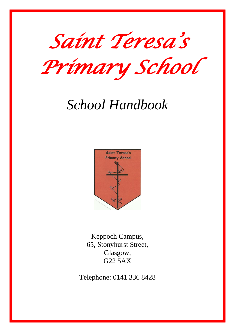

*Primary School* 

# *School Handbook*



Keppoch Campus, 65, Stonyhurst Street, Glasgow, G22 5AX

Telephone: 0141 336 8428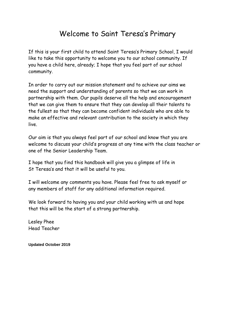# Welcome to Saint Teresa's Primary

If this is your first child to attend Saint Teresa's Primary School, I would like to take this opportunity to welcome you to our school community. If you have a child here, already; I hope that you feel part of our school community.

In order to carry out our mission statement and to achieve our aims we need the support and understanding of parents so that we can work in partnership with them. Our pupils deserve all the help and encouragement that we can give them to ensure that they can develop all their talents to the fullest so that they can become confident individuals who are able to make an effective and relevant contribution to the society in which they live.

Our aim is that you always feel part of our school and know that you are welcome to discuss your child's progress at any time with the class teacher or one of the Senior Leadership Team.

I hope that you find this handbook will give you a glimpse of life in St Teresa's and that it will be useful to you.

I will welcome any comments you have. Please feel free to ask myself or any members of staff for any additional information required.

We look forward to having you and your child working with us and hope that this will be the start of a strong partnership.

Lesley Phee Head Teacher

**Updated October 2019**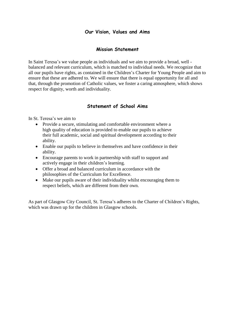# **Our Vision, Values and Aims**

# **Mission Statement**

In Saint Teresa's we value people as individuals and we aim to provide a broad, well balanced and relevant curriculum, which is matched to individual needs. We recognize that all our pupils have rights, as contained in the Children's Charter for Young People and aim to ensure that these are adhered to. We will ensure that there is equal opportunity for all and that, through the promotion of Catholic values, we foster a caring atmosphere, which shows respect for dignity, worth and individuality.

# **Statement of School Aims**

In St. Teresa's we aim to

- Provide a secure, stimulating and comfortable environment where a high quality of education is provided to enable our pupils to achieve their full academic, social and spiritual development according to their ability.
- Enable our pupils to believe in themselves and have confidence in their ability.
- Encourage parents to work in partnership with staff to support and actively engage in their children's learning.
- Offer a broad and balanced curriculum in accordance with the philosophies of the Curriculum for Excellence.
- Make our pupils aware of their individuality whilst encouraging them to respect beliefs, which are different from their own.

As part of Glasgow City Council, St. Teresa's adheres to the Charter of Children's Rights, which was drawn up for the children in Glasgow schools.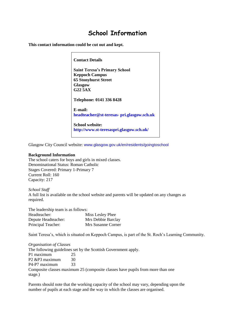# **School Information**

**This contact information could be cut out and kept.**

**Contact Details Saint Teresa's Primary School Keppoch Campus 65 Stonyhurst Street Glasgow G22 5AX Telephone: 0141 336 8428 E-mail: headteacher@st-teresas- pri.glasgow.sch.uk School website: http://www.st-teresaspri.glasgow.sch.uk/**

Glasgow City Council website: www.glasgow.gov.uk/en/residents/goingtoschool

#### **Background Information**

The school caters for boys and girls in mixed classes. Denominational Status: Roman Catholic Stages Covered: Primary 1-Primary 7 Current Roll: 160 Capacity: 217

*School Staff* A full list is available on the school website and parents will be updated on any changes as required.

The leadership team is as follows: Headteacher: Miss Lesley Phee Depute Headteacher: Mrs Debbie Barclay Principal Teacher: Mrs Susanne Corner

Saint Teresa's, which is situated on Keppoch Campus, is part of the St. Roch's Learning Community.

*Organisation of Classes* The following guidelines set by the Scottish Government apply. P1 maximum 25 P<sub>2</sub> &P<sub>3</sub> maximum 30 P4-P7 maximum 33 Composite classes maximum 25 (composite classes have pupils from more than one stage.)

Parents should note that the working capacity of the school may vary, depending upon the number of pupils at each stage and the way in which the classes are organised.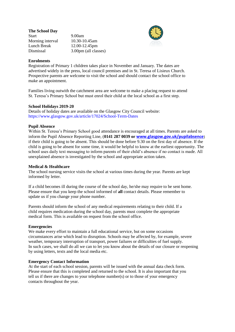**The School Day** Start 9.00am Morning interval 10.30-10.45am Lunch Break 12.00-12.45pm Dismissal 3.00pm (all classes)



#### **Enrolments**

Registration of Primary 1 children takes place in November and January. The dates are advertised widely in the press, local council premises and in St. Teresa of Lisieux Church. Prospective parents are welcome to visit the school and should contact the school office to make an appointment.

Families living outwith the catchment area are welcome to make a placing request to attend St. Teresa's Primary School but must enrol their child at the local school as a first step.

#### **School Holidays 2019-20**

Details of holiday dates are available on the Glasgow City Council website: https://www.glasgow.gov.uk/article/17024/School-Term-Dates

#### **Pupil Absence**

Within St. Teresa's Primary School good attendance is encouraged at all times. Parents are asked to inform the Pupil Absence Reporting Line, (**0141 287 0039 or [www.glasgow.gov.uk/pupilabsence](http://www.glasgow.gov.uk/pupilabsence)**) if their child is going to be absent. This should be done before 9.30 on the first day of absence. If the child is going to be absent for some time, it would be helpful to know at the earliest opportunity. The school uses daily text messaging to inform parents of their child's absence if no contact is made. All unexplained absence is investigated by the school and appropriate action taken.

#### **Medical & Healthcare**

The school nursing service visits the school at various times during the year. Parents are kept informed by letter.

If a child becomes ill during the course of the school day, he/she may require to be sent home. Please ensure that you keep the school informed of **all** contact details. Please remember to update us if you change your phone number.

Parents should inform the school of any medical requirements relating to their child. If a child requires medication during the school day, parents must complete the appropriate medical form. This is available on request from the school office.

#### **Emergencies**

We make every effort to maintain a full educational service, but on some occasions circumstances arise which lead to disruption. Schools may be affected by, for example, severe weather, temporary interruption of transport, power failures or difficulties of fuel supply. In such cases, we shall do all we can to let you know about the details of our closure or reopening by using letters, texts and the local media etc.

#### **Emergency Contact Information**

At the start of each school session, parents will be issued with the annual data check form. Please ensure that this is completed and returned to the school. It is also important that you tell us if there are changes to your telephone number(s) or to those of your emergency contacts throughout the year.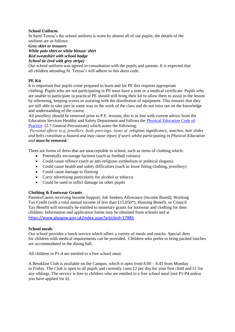# **School Uniform**

In Saint Teresa's the school uniform is worn by almost all of our pupils; the details of the

uniform are as follows:

*Grey skirt or trousers*

*White polo shirt or white blouse/ shirt*

*Red sweatshirt with school badge*

*School tie (red with grey stripe)*

Our school uniform was agreed in consultation with the pupils and parents. It is expected that all children attending St. Teresa's will adhere to this dress code.

# **PE Kit**

It is important that pupils come prepared to learn and for PE this requires appropriate clothing. Pupils who are not participating in PE must have a note or a medical certificate. Pupils who are unable to participate in practical PE should still bring their kit to allow them to assist in the lesson by refereeing, keeping scores or assisting with the distribution of equipment. This ensures that they are still able to take part in some way in the work of the class and do not miss out on the knowledge and understanding of the course.

All jewellery should be removed prior to P.E. lessons; this is in line with current advice from the Education Services Healthy and Safety Department and follows the [Physical Education Code of](http://www.goglasgow.org.uk/content/UserGenerated/file/GO%20Health%20Safety/Code_of_Practices/PE_Code_of_Practice.PDF)  [Practice](http://www.goglasgow.org.uk/content/UserGenerated/file/GO%20Health%20Safety/Code_of_Practices/PE_Code_of_Practice.PDF) (2.7 General Precautions) which states the following:

*'Personal effects (e.g. jewellery, body piercings, items of religious significance, watches, hair slides and belts constitute a hazard and may cause injury if worn whilst participating in Physical Education and must be removed.'*

There are forms of dress that are unacceptable in school, such as items of clothing which:

- Potentially encourage factions (such as football colours)
- Could cause offence (such as anti-religious symbolism or political slogans)
- Could cause health and safety difficulties (such as loose fitting clothing, jewellery)
- Could cause damage to flooring
- Carry advertising particularly for alcohol or tobacco
- Could be used to inflict damage on other pupils

# **Clothing & Footwear Grants**

Parents/Carers receiving Income Support, Job Seekers Allowance (Income Based), Working Tax Credit (with a total annual income of less than £15,050\*), Housing Benefit, or Council Tax Benefit will normally be entitled to monetary grants for footwear and clothing for their children. Information and application forms may be obtained from schools and at <https://www.glasgow.gov.uk/index.aspx?articleid=17885>

# **School meals**

Our school provides a lunch service which offers a variety of meals and snacks. Special diets for children with medical requirements can be provided. Children who prefer to bring packed lunches are accommodated in the dining hall.

All children in P1-4 are entitled to a free school meal.

A Breakfast Club is available on the Campus, which is open from 8.00 – 8.45 from Monday to Friday. The Club is open to all pupils and currently costs £2 per day for your first child and £1 for any siblings. The service is free to children who are entitled to a free school meal (not P1-P4 unless you have applied for it).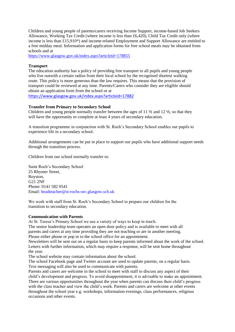Children and young people of parents/carers receiving Income Support, income-based Job Seekers Allowance, Working Tax Credit (where income is less than £6,420), Child Tax Credit only (where income is less than £15,910\*) and income-related Employment and Support Allowance are entitled to a free midday meal. Information and application forms for free school meals may be obtained from schools and at

<https://www.glasgow.gov.uk/index.aspx?articleid=178855>

# **Transport**

The education authority has a policy of providing free transport to all pupils and young people who live outwith a certain radius from their local school by the recognised shortest walking route. This policy is more generous than the law requires. This means that the provision of transport could be reviewed at any time. Parents/Carers who consider they are eligible should obtain an application form from the school or at

<https://www.glasgow.gov.uk/index.aspx?articleid=17882>

# **Transfer from Primary to Secondary School**

Children and young people normally transfer between the ages of 11  $\frac{1}{2}$  and 12  $\frac{1}{2}$ , so that they will have the opportunity to complete at least 4 years of secondary education.

A transition programme in conjunction with St. Roch's Secondary School enables our pupils to experience life in a secondary school.

Additional arrangements can be put in place to support our pupils who have additional support needs through the transition process.

Children from our school normally transfer to:

Saint Roch's Secondary School 25 Rhymer Street, Royston, G21 2NF Phone: 0141 582 0541 Email: headteacher@st-rochs-sec.glasgow.sch.uk

We work with staff from St. Roch's Secondary School to prepare our children for the transition to secondary education.

#### **Communication with Parents**

At St. Teresa's Primary School we use a variety of ways to keep in touch.

The senior leadership team operates an open door policy and is available to meet with all parents and carers at any time providing they are not teaching or are in another meeting. Please either phone or pop in to the school office for an appointment.

Newsletters will be sent out on a regular basis to keep parents informed about the work of the school. Letters with further information, which may require a response, will be sent home throughout the year.

The school website may contain information about the school.

The school Facebook page and Twitter account are used to update parents, on a regular basis. Text messaging will also be used to communicate with parents.

Parents and carers are welcome in the school to meet with staff to discuss any aspect of their child's development and progress. To avoid disappointment, it is advisable to make an appointment. There are various opportunities throughout the year when parents can discuss their child's progress with the class teacher and view the child's work. Parents and carers are welcome at other events throughout the school year e.g. workshops, information evenings, class performances, religious occasions and other events.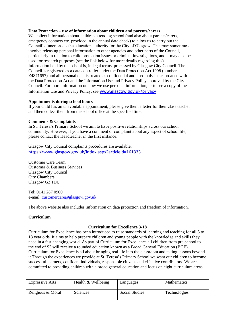#### **Data Protection – use of information about children and parents/carers**

We collect information about children attending school (and also about parents/carers, emergency contacts etc. provided in the annual data check) to allow us to carry out the Council's functions as the education authority for the City of Glasgow. This may sometimes involve releasing personal information to other agencies and other parts of the Council, particularly in relation to child protection issues or criminal investigations, and it may also be used for research purposes (see the link below for more details regarding this). Information held by the school is, in legal terms, processed by Glasgow City Council. The Council is registered as a data controller under the Data Protection Act 1998 (number Z4871657) and all personal data is treated as confidential and used only in accordance with the Data Protection Act and the Information Use and Privacy Policy approved by the City Council. For more information on how we use personal information, or to see a copy of the Information Use and Privacy Policy, see [www.glasgow.gov.uk/privacy](http://www.glasgow.gov.uk/privacy)

#### **Appointments during school hours**

If your child has an unavoidable appointment, please give them a letter for their class teacher and then collect them from the school office at the specified time.

#### **Comments & Complaints**

In St. Teresa's Primary School we aim to have positive relationships across our school community. However, if you have a comment or complaint about any aspect of school life, please contact the Headteacher in the first instance.

Glasgow City Council complaints procedures are available: <https://www.glasgow.gov.uk/index.aspx?articleid=161333>

Customer Care Team Customer & Business Services Glasgow City Council City Chambers Glasgow G2 1DU

Tel: 0141 287 0900 e-mail: [customercare@glasgow.gov.uk](mailto:customercare@glasgow.gov.uk)

The above website also includes information on data protection and freedom of information.

#### **Curriculum**

# **Curriculum for Excellence 3-18**

Curriculum for Excellence has been introduced to raise standards of learning and teaching for all 3 to 18 year olds. It aims to help prepare children and young people with the knowledge and skills they need in a fast changing world. As part of Curriculum for Excellence all children from pre-school to the end of S3 will receive a rounded education known as a Broad General Education (BGE). Curriculum for Excellence is all about bringing real life into the classroom and taking lessons beyond it.Through the experiences we provide at St. Teresa's Primary School we want our children to become successful learners, confident individuals, responsible citizens and effective contributors. We are committed to providing children with a broad general education and focus on eight curriculum areas.

| <b>Expressive Arts</b> | Health & Wellbeing | Languages      | <b>Mathematics</b> |
|------------------------|--------------------|----------------|--------------------|
| Religious & Moral      | Sciences           | Social Studies | Technologies       |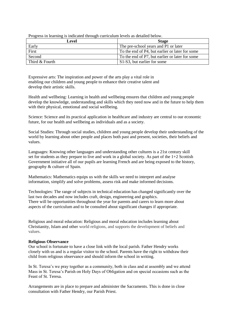| Level          | <b>Stage</b>                                    |  |
|----------------|-------------------------------------------------|--|
| Early          | The pre-school years and P1 or later            |  |
| First          | To the end of P4, but earlier or later for some |  |
| Second         | To the end of P7, but earlier or later for some |  |
| Third & Fourth | S1-S3, but earlier for some                     |  |

Progress in learning is indicated through curriculum levels as detailed below.

Expressive arts: The inspiration and power of the arts play a vital role in enabling our children and young people to enhance their creative talent and develop their artistic skills.

Health and wellbeing: Learning in health and wellbeing ensures that children and young people develop the knowledge, understanding and skills which they need now and in the future to help them with their physical, emotional and social wellbeing.

Science: Science and its practical application in healthcare and industry are central to our economic future, for our health and wellbeing as individuals and as a society.

Social Studies: Through social studies, children and young people develop their understanding of the world by learning about other people and places both past and present, societies, their beliefs and values.

Languages: Knowing other languages and understanding other cultures is a 21st century skill set for students as they prepare to live and work in a global society. As part of the 1+2 Scottish Government initiative all of our pupils are learning French and are being exposed to the history, geography & culture of Spain.

Mathematics: Mathematics equips us with the skills we need to interpret and analyse information, simplify and solve problems, assess risk and make informed decisions.

Technologies: The range of subjects in technical education has changed significantly over the last two decades and now includes craft, design, engineering and graphics. There will be opportunities throughout the year for parents and carers to learn more about aspects of the curriculum and to be consulted about significant changes if appropriate.

Religious and moral education: Religious and moral education includes learning about Christianity, Islam and other world religions, and supports the development of beliefs and values.

#### **Religious Observance**

Our school is fortunate to have a close link with the local parish. Father Hendry works closely with us and is a regular visitor to the school. Parents have the right to withdraw their child from religious observance and should inform the school in writing.

In St. Teresa's we pray together as a community, both in class and at assembly and we attend Mass in St. Teresa's Parish on Holy Days of Obligation and on special occasions such as the Feast of St. Teresa.

Arrangements are in place to prepare and administer the Sacraments. This is done in close consultation with Father Hendry, our Parish Priest.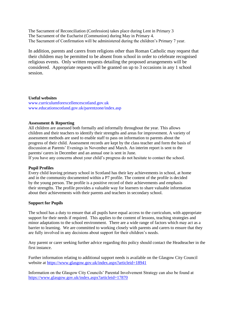The Sacrament of Reconciliation (Confession) takes place during Lent in Primary 3 The Sacrament of the Eucharist (Communion) during May in Primary 4. The Sacrament of Confirmation will be administered during the children's Primary 7 year.

In addition, parents and carers from religions other than Roman Catholic may request that their children may be permitted to be absent from school in order to celebrate recognised religious events. Only written requests detailing the proposed arrangements will be considered. Appropriate requests will be granted on up to 3 occasions in any 1 school session.

#### **Useful websites**

www.curriculumforexcellencescotland.gov.uk www.educationscotland.gov.uk/parentzone/index.asp

#### **Assessment & Reporting**

All children are assessed both formally and informally throughout the year. This allows children and their teachers to identify their strengths and areas for improvement. A variety of assessment methods are used to enable staff to pass on information to parents about the progress of their child. Assessment records are kept by the class teacher and form the basis of discussion at Parents' Evenings in November and March. An interim report is sent to the parents/ carers in December and an annual one is sent in June.

If you have any concerns about your child's progress do not hesitate to contact the school.

#### **Pupil Profiles**

Every child leaving primary school in Scotland has their key achievements in school, at home and in the community documented within a P7 profile. The content of the profile is decided by the young person. The profile is a positive record of their achievements and emphasis their strengths. The profile provides a valuable way for learners to share valuable information about their achievements with their parents and teachers in secondary school.

#### **Support for Pupils**

The school has a duty to ensure that all pupils have equal access to the curriculum, with appropriate support for their needs if required. This applies to the content of lessons, teaching strategies and minor adaptations to the school environment. There are a wide range of factors which may act as a barrier to learning. We are committed to working closely with parents and carers to ensure that they are fully involved in any decisions about support for their children's needs.

Any parent or carer seeking further advice regarding this policy should contact the Headteacher in the first instance.

Further information relating to additional support needs is available on the Glasgow City Council website at<https://www.glasgow.gov.uk/index.aspx?articleid=18941>

Information on the Glasgow City Councils' Parental Involvement Strategy can also be found at <https://www.glasgow.gov.uk/index.aspx?articleid=17870>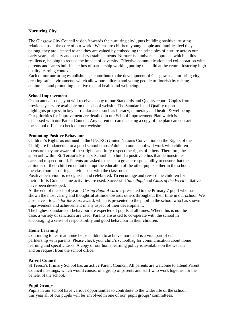## **Nurturing City**

The Glasgow City Council vision 'towards the nurturing city', puts building positive, trusting relationships at the core of our work. We ensure children, young people and families feel they belong, they are listened to and they are valued by embedding the principles of nurture across our early years, primary and secondary establishments. Nurture is a universal approach which builds resilience, helping to reduce the impact of adversity. Effective communication and collaboration with parents and carers builds an ethos of partnership working putting the child at the centre, fostering high quality learning contexts.

Each of our nurturing establishments contribute to the development of Glasgow as a nurturing city, creating safe environments which allow our children and young people to flourish by raising attainment and promoting positive mental health and wellbeing.

#### **School Improvement**

On an annual basis, you will receive a copy of our Standards and Quality report. Copies from previous years are available on the school website. The Standards and Quality report highlights progress in key curricular areas such as literacy, numeracy and health & wellbeing. Our priorities for improvement are detailed in our School Improvement Plan which is discussed with our Parent Council. Any parent or carer seeking a copy of the plan can contact the school office or check out our website.

#### **Promoting Positive Behaviour**

Children's Rights as outlined in the UNCRC (United Nations Convention on the Rights of the Child) are fundamental to a good school ethos. Adults in our school will work with children to ensure they are aware of their rights and fully respect the rights of others. Therefore, the approach within St. Teresa's Primary School is to build a positive ethos that demonstrates care and respect for all. Parents are asked to accept a greater responsibility to ensure that the attitudes of their children do not disrupt the education of the other pupils either in the school, the classroom or during activities out with the classroom.

Positive behaviour is recognised and celebrated. To encourage and reward the children for their efforts Golden Time activities are used. Successful *Star Pupil* and *Class of the Week* initiatives have been developed.

At the end of the school year a *Caring Pupil Award* is presented to the Primary 7 pupil who has shown the most caring and thoughtful attitude towards others throughout their time in our school. We also have a *Reach for the Stars* award, which is presented to the pupil in the school who has shown improvement and achievement in any aspect of their development.

The highest standards of behaviour are expected of pupils at all times. Where this is not the case, a variety of sanctions are used. Parents are asked to co-operate with the school in encouraging a sense of responsibility and good behaviour in their children.

#### **Home Learning**

Continuing to learn at home helps children to achieve more and is a vital part of our partnership with parents. Please check your child's schoolbag for communication about home learning and specific tasks. A copy of our home learning policy is available on the website and on request from the school office.

#### **Parent Council**

St Teresa's Primary School has an active Parent Council. All parents are welcome to attend Parent Council meetings; which would consist of a group of parents and staff who work together for the benefit of the school.

#### **Pupil Groups**

Pupils in our school have various opportunities to contribute to the wider life of the school; this year all of our pupils will be involved in one of our pupil groups/ committees.